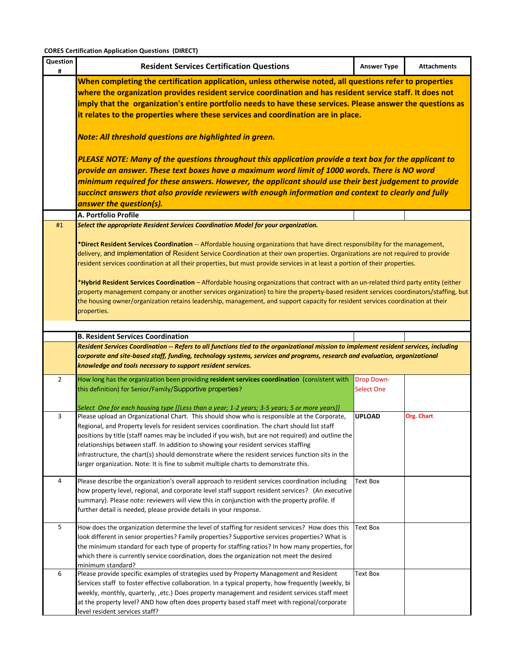| Question<br>#  | <b>Resident Services Certification Questions</b>                                                                                                                                                    | <b>Answer Type</b> | <b>Attachments</b> |  |  |  |  |
|----------------|-----------------------------------------------------------------------------------------------------------------------------------------------------------------------------------------------------|--------------------|--------------------|--|--|--|--|
|                | When completing the certification application, unless otherwise noted, all questions refer to properties                                                                                            |                    |                    |  |  |  |  |
|                | where the organization provides resident service coordination and has resident service staff. It does not                                                                                           |                    |                    |  |  |  |  |
|                | imply that the organization's entire portfolio needs to have these services. Please answer the questions as                                                                                         |                    |                    |  |  |  |  |
|                | it relates to the properties where these services and coordination are in place.                                                                                                                    |                    |                    |  |  |  |  |
|                | Note: All threshold questions are highlighted in green.                                                                                                                                             |                    |                    |  |  |  |  |
|                | PLEASE NOTE: Many of the questions throughout this application provide a text box for the applicant to                                                                                              |                    |                    |  |  |  |  |
|                | provide an answer. These text boxes have a maximum word limit of 1000 words. There is NO word                                                                                                       |                    |                    |  |  |  |  |
|                | minimum required for these answers. However, the applicant should use their best judgement to provide                                                                                               |                    |                    |  |  |  |  |
|                | succinct answers that also provide reviewers with enough information and context to clearly and fully                                                                                               |                    |                    |  |  |  |  |
|                | answer the question(s).                                                                                                                                                                             |                    |                    |  |  |  |  |
|                | A. Portfolio Profile                                                                                                                                                                                |                    |                    |  |  |  |  |
| #1             | Select the appropriate Resident Services Coordination Model for your organization.                                                                                                                  |                    |                    |  |  |  |  |
|                | *Direct Resident Services Coordination -- Affordable housing organizations that have direct responsibility for the management,                                                                      |                    |                    |  |  |  |  |
|                | delivery, and implementation of Resident Service Coordination at their own properties. Organizations are not required to provide                                                                    |                    |                    |  |  |  |  |
|                | resident services coordination at all their properties, but must provide services in at least a portion of their properties.                                                                        |                    |                    |  |  |  |  |
|                |                                                                                                                                                                                                     |                    |                    |  |  |  |  |
|                | *Hybrid Resident Services Coordination - Affordable housing organizations that contract with an un-related third party entity (either                                                               |                    |                    |  |  |  |  |
|                | property management company or another services organization) to hire the property-based resident services coordinators/staffing, but                                                               |                    |                    |  |  |  |  |
|                | the housing owner/organization retains leadership, management, and support capacity for resident services coordination at their                                                                     |                    |                    |  |  |  |  |
|                | properties.                                                                                                                                                                                         |                    |                    |  |  |  |  |
|                |                                                                                                                                                                                                     |                    |                    |  |  |  |  |
|                | <b>B. Resident Services Coordination</b>                                                                                                                                                            |                    |                    |  |  |  |  |
|                | Resident Services Coordination -- Refers to all functions tied to the organizational mission to implement resident services, including                                                              |                    |                    |  |  |  |  |
|                | corporate and site-based staff, funding, technology systems, services and programs, research and evaluation, organizational<br>knowledge and tools necessary to support resident services.          |                    |                    |  |  |  |  |
| $\overline{2}$ | How long has the organization been providing resident services coordination (consistent with                                                                                                        | <b>Drop Down-</b>  |                    |  |  |  |  |
|                | this definition) for Senior/Family/Supportive properties?                                                                                                                                           | <b>Select One</b>  |                    |  |  |  |  |
|                |                                                                                                                                                                                                     |                    |                    |  |  |  |  |
|                | Select One for each housing type [[Less than a year; 1-2 years; 3-5 years; 5 or more years]]                                                                                                        |                    |                    |  |  |  |  |
| 3              | Please upload an Organizational Chart. This should show who is responsible at the Corporate,                                                                                                        | <b>UPLOAD</b>      | Org. Chart         |  |  |  |  |
|                | Regional, and Property levels for resident services coordination. The chart should list staff<br>positions by title (staff names may be included if you wish, but are not required) and outline the |                    |                    |  |  |  |  |
|                | relationships between staff. In addition to showing your resident services staffing                                                                                                                 |                    |                    |  |  |  |  |
|                | infrastructure, the chart(s) should demonstrate where the resident services function sits in the                                                                                                    |                    |                    |  |  |  |  |
|                | larger organization. Note: It is fine to submit multiple charts to demonstrate this.                                                                                                                |                    |                    |  |  |  |  |
|                |                                                                                                                                                                                                     |                    |                    |  |  |  |  |
| 4              | Please describe the organization's overall approach to resident services coordination including<br>how property level, regional, and corporate level staff support resident services? (An executive | Text Box           |                    |  |  |  |  |
|                | summary). Please note: reviewers will view this in conjunction with the property profile. If                                                                                                        |                    |                    |  |  |  |  |
|                | further detail is needed, please provide details in your response.                                                                                                                                  |                    |                    |  |  |  |  |
|                |                                                                                                                                                                                                     |                    |                    |  |  |  |  |
| 5              | How does the organization determine the level of staffing for resident services? How does this                                                                                                      | Text Box           |                    |  |  |  |  |
|                | look different in senior properties? Family properties? Supportive services properties? What is                                                                                                     |                    |                    |  |  |  |  |
|                | the minimum standard for each type of property for staffing ratios? In how many properties, for                                                                                                     |                    |                    |  |  |  |  |
|                | which there is currently service coordination, does the organization not meet the desired<br>minimum standard?                                                                                      |                    |                    |  |  |  |  |
| 6              | Please provide specific examples of strategies used by Property Management and Resident                                                                                                             | Text Box           |                    |  |  |  |  |
|                | Services staff to foster effective collaboration. In a typical property, how frequently (weekly, bi                                                                                                 |                    |                    |  |  |  |  |
|                | weekly, monthly, quarterly, ,etc.) Does property management and resident services staff meet                                                                                                        |                    |                    |  |  |  |  |
|                | at the property level? AND how often does property based staff meet with regional/corporate                                                                                                         |                    |                    |  |  |  |  |
|                | level resident services staff?                                                                                                                                                                      |                    |                    |  |  |  |  |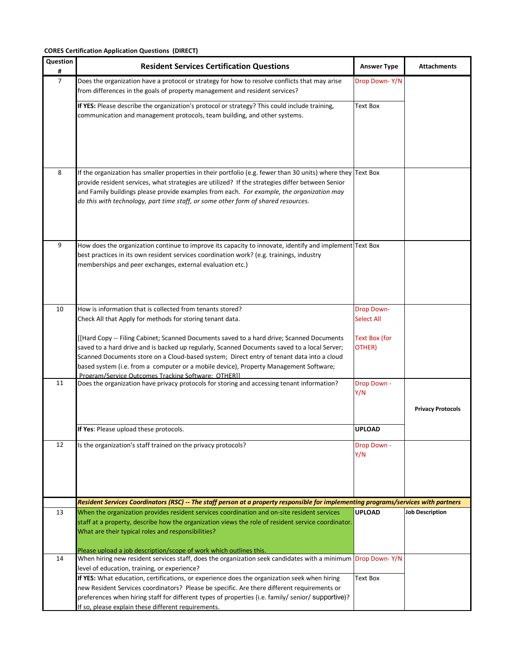| Question<br>$\pmb{\sharp}$ | <b>Resident Services Certification Questions</b>                                                                                                                                                                                                                                                                                                                                                                                       | <b>Answer Type</b>                     | <b>Attachments</b>       |
|----------------------------|----------------------------------------------------------------------------------------------------------------------------------------------------------------------------------------------------------------------------------------------------------------------------------------------------------------------------------------------------------------------------------------------------------------------------------------|----------------------------------------|--------------------------|
| $\overline{7}$             | Does the organization have a protocol or strategy for how to resolve conflicts that may arise<br>from differences in the goals of property management and resident services?                                                                                                                                                                                                                                                           | Drop Down-Y/N                          |                          |
|                            | If YES: Please describe the organization's protocol or strategy? This could include training,<br>communication and management protocols, team building, and other systems.                                                                                                                                                                                                                                                             | Text Box                               |                          |
| 8                          | If the organization has smaller properties in their portfolio (e.g. fewer than 30 units) where they Text Box<br>provide resident services, what strategies are utilized? If the strategies differ between Senior<br>and Family buildings please provide examples from each. For example, the organization may<br>do this with technology, part time staff, or some other form of shared resources.                                     |                                        |                          |
| 9                          | How does the organization continue to improve its capacity to innovate, identify and implement Text Box<br>best practices in its own resident services coordination work? (e.g. trainings, industry<br>memberships and peer exchanges, external evaluation etc.)                                                                                                                                                                       |                                        |                          |
| 10                         | How is information that is collected from tenants stored?<br>Check All that Apply for methods for storing tenant data.                                                                                                                                                                                                                                                                                                                 | <b>Drop Down-</b><br><b>Select All</b> |                          |
|                            | [[Hard Copy -- Filing Cabinet; Scanned Documents saved to a hard drive; Scanned Documents<br>saved to a hard drive and is backed up regularly, Scanned Documents saved to a local Server;<br>Scanned Documents store on a Cloud-based system; Direct entry of tenant data into a cloud<br>based system (i.e. from a computer or a mobile device), Property Management Software;<br>Program/Service Outcomes Tracking Software: OTHERII | Text Box (for<br>OTHER)                |                          |
| 11                         | Does the organization have privacy protocols for storing and accessing tenant information?                                                                                                                                                                                                                                                                                                                                             | Drop Down -<br>Y/N                     |                          |
|                            |                                                                                                                                                                                                                                                                                                                                                                                                                                        |                                        | <b>Privacy Protocols</b> |
|                            | If Yes: Please upload these protocols.                                                                                                                                                                                                                                                                                                                                                                                                 | <b>UPLOAD</b>                          |                          |
| 12                         | Is the organization's staff trained on the privacy protocols?                                                                                                                                                                                                                                                                                                                                                                          | Drop Down -<br>Y/N                     |                          |
|                            | Resident Services Coordinators (RSC) -- The staff person at a property responsible for implementing programs/services with partners                                                                                                                                                                                                                                                                                                    |                                        |                          |
| 13                         | When the organization provides resident services coordination and on-site resident services<br>staff at a property, describe how the organization views the role of resident service coordinator.<br>What are their typical roles and responsibilities?<br>Please upload a job description/scope of work which outlines this.                                                                                                          | <b>UPLOAD</b>                          | Job Description          |
| 14                         | When hiring new resident services staff, does the organization seek candidates with a minimum Drop Down-Y/N                                                                                                                                                                                                                                                                                                                            |                                        |                          |
|                            | level of education, training, or experience?<br>If YES: What education, certifications, or experience does the organization seek when hiring<br>new Resident Services coordinators? Please be specific. Are there different requirements or<br>preferences when hiring staff for different types of properties (i.e. family/ senior/ supportive)?<br>If so, please explain these different requirements.                               | Text Box                               |                          |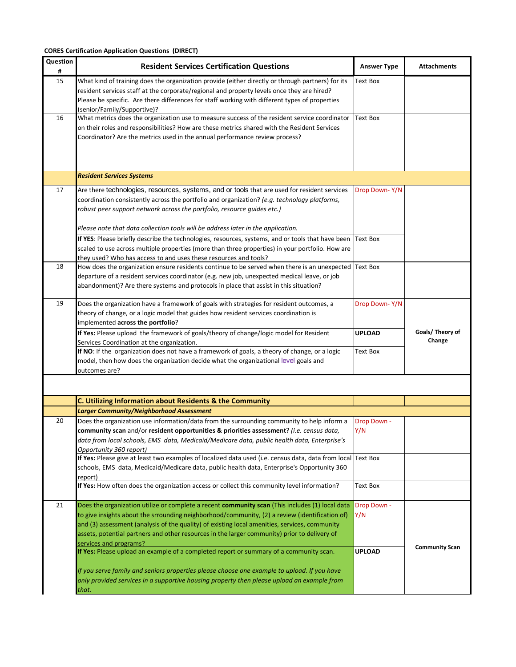| Question<br># | <b>Resident Services Certification Questions</b>                                                                                        | <b>Answer Type</b> | Attachments           |
|---------------|-----------------------------------------------------------------------------------------------------------------------------------------|--------------------|-----------------------|
| 15            | What kind of training does the organization provide (either directly or through partners) for its                                       | Text Box           |                       |
|               | resident services staff at the corporate/regional and property levels once they are hired?                                              |                    |                       |
|               | Please be specific. Are there differences for staff working with different types of properties                                          |                    |                       |
|               | (senior/Family/Supportive)?                                                                                                             |                    |                       |
| 16            | What metrics does the organization use to measure success of the resident service coordinator                                           | Text Box           |                       |
|               | on their roles and responsibilities? How are these metrics shared with the Resident Services                                            |                    |                       |
|               | Coordinator? Are the metrics used in the annual performance review process?                                                             |                    |                       |
|               |                                                                                                                                         |                    |                       |
|               |                                                                                                                                         |                    |                       |
|               | <b>Resident Services Systems</b>                                                                                                        |                    |                       |
| 17            | Are there technologies, resources, systems, and or tools that are used for resident services                                            | Drop Down-Y/N      |                       |
|               | coordination consistently across the portfolio and organization? (e.g. technology platforms,                                            |                    |                       |
|               | robust peer support network across the portfolio, resource guides etc.)                                                                 |                    |                       |
|               |                                                                                                                                         |                    |                       |
|               | Please note that data collection tools will be address later in the application.                                                        |                    |                       |
|               | If YES: Please briefly describe the technologies, resources, systems, and or tools that have been                                       | Text Box           |                       |
|               | scaled to use across multiple properties (more than three properties) in your portfolio. How are                                        |                    |                       |
|               | they used? Who has access to and uses these resources and tools?                                                                        |                    |                       |
| 18            | How does the organization ensure residents continue to be served when there is an unexpected                                            | Text Box           |                       |
|               | departure of a resident services coordinator (e.g. new job, unexpected medical leave, or job                                            |                    |                       |
|               | abandonment)? Are there systems and protocols in place that assist in this situation?                                                   |                    |                       |
| 19            | Does the organization have a framework of goals with strategies for resident outcomes, a                                                | Drop Down-Y/N      |                       |
|               | theory of change, or a logic model that guides how resident services coordination is                                                    |                    |                       |
|               | implemented across the portfolio?                                                                                                       |                    |                       |
|               | If Yes: Please upload the framework of goals/theory of change/logic model for Resident                                                  | <b>UPLOAD</b>      | Goals/ Theory of      |
|               | Services Coordination at the organization.                                                                                              |                    | Change                |
|               | If NO: If the organization does not have a framework of goals, a theory of change, or a logic                                           | Text Box           |                       |
|               | model, then how does the organization decide what the organizational level goals and<br>outcomes are?                                   |                    |                       |
|               |                                                                                                                                         |                    |                       |
|               |                                                                                                                                         |                    |                       |
|               | C. Utilizing Information about Residents & the Community                                                                                |                    |                       |
|               | <b>Larger Community/Neighborhood Assessment</b>                                                                                         |                    |                       |
| 20            | Does the organization use information/data from the surrounding community to help inform a                                              | Drop Down -        |                       |
|               | community scan and/or resident opportunities & priorities assessment? (i.e. census data,                                                | Y/N                |                       |
|               | data from local schools, EMS data, Medicaid/Medicare data, public health data, Enterprise's                                             |                    |                       |
|               | Opportunity 360 report)<br>If Yes: Please give at least two examples of localized data used (i.e. census data, data from local Text Box |                    |                       |
|               | schools, EMS data, Medicaid/Medicare data, public health data, Enterprise's Opportunity 360                                             |                    |                       |
|               | report)                                                                                                                                 |                    |                       |
|               | If Yes: How often does the organization access or collect this community level information?                                             | Text Box           |                       |
|               |                                                                                                                                         |                    |                       |
| 21            | Does the organization utilize or complete a recent community scan (This includes (1) local data                                         | Drop Down -        |                       |
|               | to give insights about the srrounding neighborhood/community, (2) a review (identification of)                                          | Y/N                |                       |
|               | and (3) assessment (analysis of the quality) of existing local amenities, services, community                                           |                    |                       |
|               | assets, potential partners and other resources in the larger community) prior to delivery of                                            |                    |                       |
|               | services and programs?<br>If Yes: Please upload an example of a completed report or summary of a community scan.                        | <b>UPLOAD</b>      | <b>Community Scan</b> |
|               |                                                                                                                                         |                    |                       |
|               | If you serve family and seniors properties please choose one example to upload. If you have                                             |                    |                       |
|               | only provided services in a supportive housing property then please upload an example from                                              |                    |                       |
|               | that.                                                                                                                                   |                    |                       |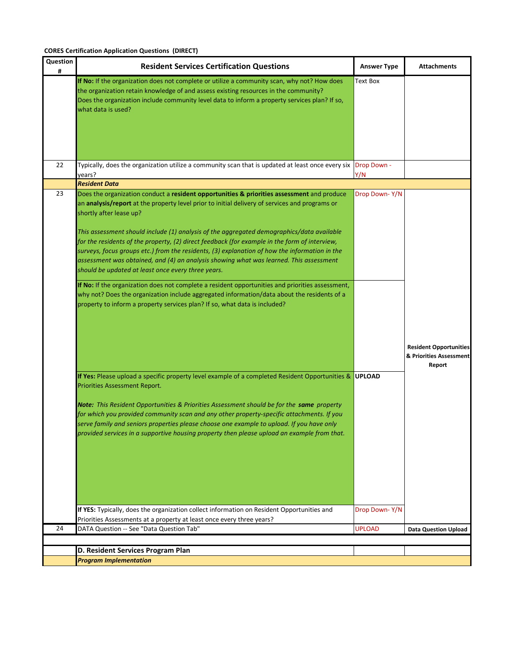| Question<br># | <b>Resident Services Certification Questions</b>                                                                                                                                                                                                                                                                                                                                                                                                                                                                                                                                                                                                                                                                                                                                                                                                                                                                                                                                                                                                           | <b>Answer Type</b>             | <b>Attachments</b>                                                 |
|---------------|------------------------------------------------------------------------------------------------------------------------------------------------------------------------------------------------------------------------------------------------------------------------------------------------------------------------------------------------------------------------------------------------------------------------------------------------------------------------------------------------------------------------------------------------------------------------------------------------------------------------------------------------------------------------------------------------------------------------------------------------------------------------------------------------------------------------------------------------------------------------------------------------------------------------------------------------------------------------------------------------------------------------------------------------------------|--------------------------------|--------------------------------------------------------------------|
|               | If No: If the organization does not complete or utilize a community scan, why not? How does<br>the organization retain knowledge of and assess existing resources in the community?<br>Does the organization include community level data to inform a property services plan? If so,<br>what data is used?                                                                                                                                                                                                                                                                                                                                                                                                                                                                                                                                                                                                                                                                                                                                                 | <b>Text Box</b>                |                                                                    |
| 22            | Typically, does the organization utilize a community scan that is updated at least once every six<br>vears?                                                                                                                                                                                                                                                                                                                                                                                                                                                                                                                                                                                                                                                                                                                                                                                                                                                                                                                                                | Drop Down -<br>Y/N             |                                                                    |
|               | <b>Resident Data</b>                                                                                                                                                                                                                                                                                                                                                                                                                                                                                                                                                                                                                                                                                                                                                                                                                                                                                                                                                                                                                                       |                                |                                                                    |
| 23            | Does the organization conduct a resident opportunities & priorities assessment and produce<br>an analysis/report at the property level prior to initial delivery of services and programs or<br>shortly after lease up?<br>This assessment should include (1) analysis of the aggregated demographics/data available<br>for the residents of the property, (2) direct feedback (for example in the form of interview,<br>surveys, focus groups etc.) from the residents, (3) explanation of how the information in the<br>assessment was obtained, and (4) an analysis showing what was learned. This assessment<br>should be updated at least once every three years.<br>If No: If the organization does not complete a resident opportunities and priorities assessment,<br>why not? Does the organization include aggregated information/data about the residents of a<br>property to inform a property services plan? If so, what data is included?<br>If Yes: Please upload a specific property level example of a completed Resident Opportunities & | Drop Down-Y/N<br><b>UPLOAD</b> | <b>Resident Opportunities</b><br>& Priorities Assessment<br>Report |
|               | Priorities Assessment Report.<br><b>Note:</b> This Resident Opportunities & Priorities Assessment should be for the same property<br>for which you provided community scan and any other property-specific attachments. If you<br>serve family and seniors properties please choose one example to upload. If you have only<br>provided services in a supportive housing property then please upload an example from that.<br>If YES: Typically, does the organization collect information on Resident Opportunities and<br>Priorities Assessments at a property at least once every three years?                                                                                                                                                                                                                                                                                                                                                                                                                                                          | Drop Down-Y/N                  |                                                                    |
| 24            | DATA Question -- See "Data Question Tab"                                                                                                                                                                                                                                                                                                                                                                                                                                                                                                                                                                                                                                                                                                                                                                                                                                                                                                                                                                                                                   | <b>UPLOAD</b>                  | <b>Data Question Upload</b>                                        |
|               |                                                                                                                                                                                                                                                                                                                                                                                                                                                                                                                                                                                                                                                                                                                                                                                                                                                                                                                                                                                                                                                            |                                |                                                                    |
|               | D. Resident Services Program Plan                                                                                                                                                                                                                                                                                                                                                                                                                                                                                                                                                                                                                                                                                                                                                                                                                                                                                                                                                                                                                          |                                |                                                                    |
|               | <b>Program Implementation</b>                                                                                                                                                                                                                                                                                                                                                                                                                                                                                                                                                                                                                                                                                                                                                                                                                                                                                                                                                                                                                              |                                |                                                                    |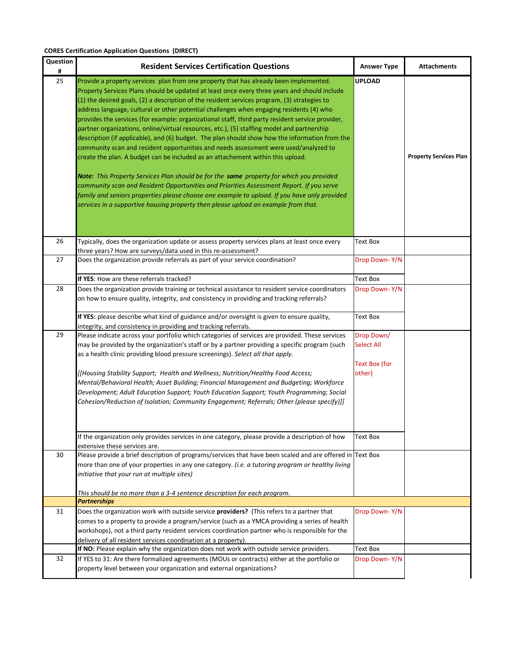| Question<br># | <b>Resident Services Certification Questions</b>                                                                                                                                                                                                                                                                                                                                                                                                                                                                                                                                                                                                                                                                                                                                                                                                                                                                                                                                                                                                                                                                                                                                                                                               | <b>Answer Type</b>                               | <b>Attachments</b>            |
|---------------|------------------------------------------------------------------------------------------------------------------------------------------------------------------------------------------------------------------------------------------------------------------------------------------------------------------------------------------------------------------------------------------------------------------------------------------------------------------------------------------------------------------------------------------------------------------------------------------------------------------------------------------------------------------------------------------------------------------------------------------------------------------------------------------------------------------------------------------------------------------------------------------------------------------------------------------------------------------------------------------------------------------------------------------------------------------------------------------------------------------------------------------------------------------------------------------------------------------------------------------------|--------------------------------------------------|-------------------------------|
| 25            | Provide a property services plan from one property that has already been implemented.<br>Property Services Plans should be updated at least once every three years and should include<br>(1) the desired goals, (2) a description of the resident services program, (3) strategies to<br>address language, cultural or other potential challenges when engaging residents (4) who<br>provides the services (for example: organizational staff, third party resident service provider,<br>partner organizations, online/virtual resources, etc.), (5) staffing model and partnership<br>description (if applicable), and (6) budget. The plan should show how the information from the<br>community scan and resident opportunities and needs assessment were used/analyzed to<br>create the plan. A budget can be included as an attachement within this upload.<br>Note: This Property Services Plan should be for the same property for which you provided<br>community scan and Resident Opportunities and Priorities Assessment Report. If you serve<br>family and seniors properties please choose one example to upload. If you have only provided<br>services in a supportive housing property then please upload an example from that. | <b>UPLOAD</b>                                    | <b>Property Services Plan</b> |
| 26            | Typically, does the organization update or assess property services plans at least once every<br>three years? How are surveys/data used in this re-assessment?                                                                                                                                                                                                                                                                                                                                                                                                                                                                                                                                                                                                                                                                                                                                                                                                                                                                                                                                                                                                                                                                                 | Text Box                                         |                               |
| 27            | Does the organization provide referrals as part of your service coordination?                                                                                                                                                                                                                                                                                                                                                                                                                                                                                                                                                                                                                                                                                                                                                                                                                                                                                                                                                                                                                                                                                                                                                                  | Drop Down-Y/N                                    |                               |
|               | If YES: How are these referrals tracked?                                                                                                                                                                                                                                                                                                                                                                                                                                                                                                                                                                                                                                                                                                                                                                                                                                                                                                                                                                                                                                                                                                                                                                                                       | Text Box                                         |                               |
| 28            | Does the organization provide training or technical assistance to resident service coordinators<br>on how to ensure quality, integrity, and consistency in providing and tracking referrals?                                                                                                                                                                                                                                                                                                                                                                                                                                                                                                                                                                                                                                                                                                                                                                                                                                                                                                                                                                                                                                                   | Drop Down-Y/N                                    |                               |
|               | If YES: please describe what kind of guidance and/or oversight is given to ensure quality,<br>integrity, and consistency in providing and tracking referrals.                                                                                                                                                                                                                                                                                                                                                                                                                                                                                                                                                                                                                                                                                                                                                                                                                                                                                                                                                                                                                                                                                  | Text Box                                         |                               |
| 29            | Please indicate across your portfolio which categories of services are provided. These services<br>may be provided by the organization's staff or by a partner providing a specific program (such<br>as a health clinic providing blood pressure screenings). Select all that apply.                                                                                                                                                                                                                                                                                                                                                                                                                                                                                                                                                                                                                                                                                                                                                                                                                                                                                                                                                           | Drop Down/<br><b>Select All</b><br>Text Box (for |                               |
|               | [[Housing Stability Support; Health and Wellness; Nutrition/Healthy Food Access;<br>Mental/Behavioral Health; Asset Building; Financial Management and Budgeting; Workforce<br>Development; Adult Education Support; Youth Education Support; Youth Programming; Social<br>Cohesion/Reduction of Isolation; Community Engagement; Referrals; Other (please specify)]]                                                                                                                                                                                                                                                                                                                                                                                                                                                                                                                                                                                                                                                                                                                                                                                                                                                                          | other)                                           |                               |
|               | If the organization only provides services in one category, please provide a description of how<br>extensive these services are.                                                                                                                                                                                                                                                                                                                                                                                                                                                                                                                                                                                                                                                                                                                                                                                                                                                                                                                                                                                                                                                                                                               | Text Box                                         |                               |
| 30            | Please provide a brief description of programs/services that have been scaled and are offered in Text Box<br>more than one of your properties in any one category. (i.e. a tutoring program or healthy living<br>initiative that your run at multiple sites)<br>This should be no more than a 3-4 sentence description for each program.                                                                                                                                                                                                                                                                                                                                                                                                                                                                                                                                                                                                                                                                                                                                                                                                                                                                                                       |                                                  |                               |
|               | <b>Partnerships</b>                                                                                                                                                                                                                                                                                                                                                                                                                                                                                                                                                                                                                                                                                                                                                                                                                                                                                                                                                                                                                                                                                                                                                                                                                            |                                                  |                               |
| 31            | Does the organization work with outside service providers? (This refers to a partner that<br>comes to a property to provide a program/service (such as a YMCA providing a series of health<br>workshops), not a third party resident services coordination partner who is responsible for the<br>delivery of all resident services coordination at a property).                                                                                                                                                                                                                                                                                                                                                                                                                                                                                                                                                                                                                                                                                                                                                                                                                                                                                | Drop Down-Y/N                                    |                               |
|               | If NO: Please explain why the organization does not work with outside service providers.                                                                                                                                                                                                                                                                                                                                                                                                                                                                                                                                                                                                                                                                                                                                                                                                                                                                                                                                                                                                                                                                                                                                                       | Text Box                                         |                               |
| 32            | If YES to 31: Are there formalized agreements (MOUs or contracts) either at the portfolio or<br>property level between your organization and external organizations?                                                                                                                                                                                                                                                                                                                                                                                                                                                                                                                                                                                                                                                                                                                                                                                                                                                                                                                                                                                                                                                                           | Drop Down-Y/N                                    |                               |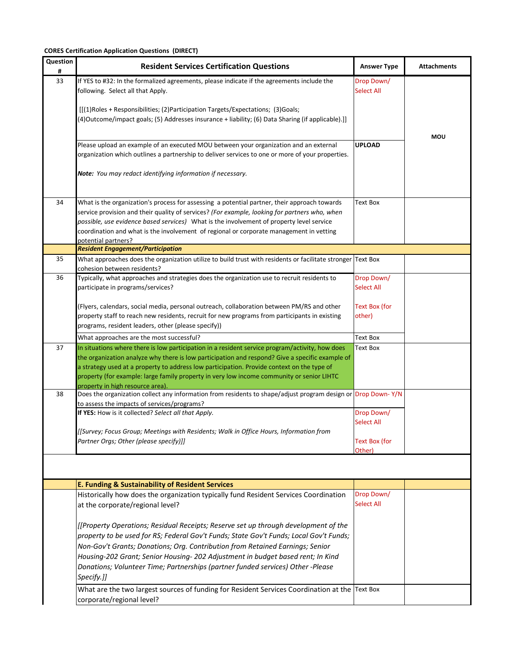| Question<br># | <b>Resident Services Certification Questions</b>                                                                                                                                                                                                                                                                                                                                                                                     | <b>Answer Type</b>              | <b>Attachments</b> |
|---------------|--------------------------------------------------------------------------------------------------------------------------------------------------------------------------------------------------------------------------------------------------------------------------------------------------------------------------------------------------------------------------------------------------------------------------------------|---------------------------------|--------------------|
| 33            | If YES to #32: In the formalized agreements, please indicate if the agreements include the<br>following. Select all that Apply.                                                                                                                                                                                                                                                                                                      | Drop Down/<br><b>Select All</b> |                    |
|               | [[(1)Roles + Responsibilities; (2)Participation Targets/Expectations; (3)Goals;<br>(4) Outcome/impact goals; (5) Addresses insurance + liability; (6) Data Sharing (if applicable).]]                                                                                                                                                                                                                                                |                                 | MOU                |
|               | Please upload an example of an executed MOU between your organization and an external<br>organization which outlines a partnership to deliver services to one or more of your properties.                                                                                                                                                                                                                                            | <b>UPLOAD</b>                   |                    |
|               | Note: You may redact identifying information if necessary.                                                                                                                                                                                                                                                                                                                                                                           |                                 |                    |
| 34            | What is the organization's process for assessing a potential partner, their approach towards<br>service provision and their quality of services? (For example, looking for partners who, when<br>possible, use evidence based services) What is the involvement of property level service<br>coordination and what is the involvement of regional or corporate management in vetting<br>potential partners?                          | <b>Text Box</b>                 |                    |
| 35            | <b>Resident Engagement/Participation</b><br>What approaches does the organization utilize to build trust with residents or facilitate stronger Text Box                                                                                                                                                                                                                                                                              |                                 |                    |
|               | cohesion between residents?                                                                                                                                                                                                                                                                                                                                                                                                          |                                 |                    |
| 36            | Typically, what approaches and strategies does the organization use to recruit residents to<br>participate in programs/services?                                                                                                                                                                                                                                                                                                     | Drop Down/<br><b>Select All</b> |                    |
|               | (Flyers, calendars, social media, personal outreach, collaboration between PM/RS and other                                                                                                                                                                                                                                                                                                                                           | Text Box (for                   |                    |
|               | property staff to reach new residents, recruit for new programs from participants in existing<br>programs, resident leaders, other (please specify))                                                                                                                                                                                                                                                                                 | other)                          |                    |
|               | What approaches are the most successful?                                                                                                                                                                                                                                                                                                                                                                                             | Text Box                        |                    |
| 37            | In situations where there is low participation in a resident service program/activity, how does<br>the organization analyze why there is low participation and respond? Give a specific example of<br>a strategy used at a property to address low participation. Provide context on the type of<br>property (for example: large family property in very low income community or senior LIHTC<br>property in high resource area).    | Text Box                        |                    |
| 38            | Does the organization collect any information from residents to shape/adjust program design or Drop Down-Y/N<br>to assess the impacts of services/programs?                                                                                                                                                                                                                                                                          |                                 |                    |
|               | If YES: How is it collected? Select all that Apply.                                                                                                                                                                                                                                                                                                                                                                                  | Drop Down/<br>Select All        |                    |
|               | [[Survey; Focus Group; Meetings with Residents; Walk in Office Hours, Information from<br>Partner Orgs; Other (please specify)]]                                                                                                                                                                                                                                                                                                     | <b>Text Box (for</b><br>Other)  |                    |
|               |                                                                                                                                                                                                                                                                                                                                                                                                                                      |                                 |                    |
|               | E. Funding & Sustainability of Resident Services                                                                                                                                                                                                                                                                                                                                                                                     |                                 |                    |
|               | Historically how does the organization typically fund Resident Services Coordination<br>at the corporate/regional level?                                                                                                                                                                                                                                                                                                             | Drop Down/<br><b>Select All</b> |                    |
|               | [[Property Operations; Residual Receipts; Reserve set up through development of the<br>property to be used for RS; Federal Gov't Funds; State Gov't Funds; Local Gov't Funds;<br>Non-Gov't Grants; Donations; Org. Contribution from Retained Earnings; Senior<br>Housing-202 Grant; Senior Housing- 202 Adjustment in budget based rent; In Kind<br>Donations; Volunteer Time; Partnerships (partner funded services) Other -Please |                                 |                    |
|               | Specify.]]                                                                                                                                                                                                                                                                                                                                                                                                                           |                                 |                    |
|               | What are the two largest sources of funding for Resident Services Coordination at the Text Box<br>corporate/regional level?                                                                                                                                                                                                                                                                                                          |                                 |                    |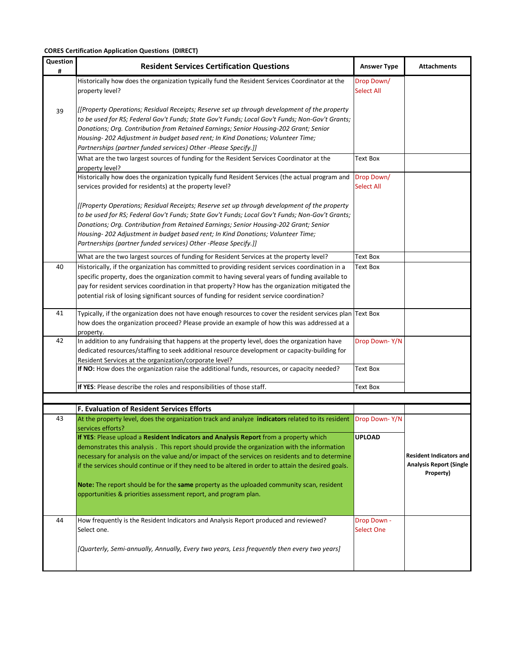| Question<br># | <b>Resident Services Certification Questions</b>                                                                                                                                                                                                                                                                                                                                                                                                                                                                                                                | <b>Answer Type</b>              | <b>Attachments</b>                                                            |
|---------------|-----------------------------------------------------------------------------------------------------------------------------------------------------------------------------------------------------------------------------------------------------------------------------------------------------------------------------------------------------------------------------------------------------------------------------------------------------------------------------------------------------------------------------------------------------------------|---------------------------------|-------------------------------------------------------------------------------|
|               | Historically how does the organization typically fund the Resident Services Coordinator at the<br>property level?                                                                                                                                                                                                                                                                                                                                                                                                                                               | Drop Down/<br><b>Select All</b> |                                                                               |
| 39            | [[Property Operations; Residual Receipts; Reserve set up through development of the property<br>to be used for RS; Federal Gov't Funds; State Gov't Funds; Local Gov't Funds; Non-Gov't Grants;<br>Donations; Org. Contribution from Retained Earnings; Senior Housing-202 Grant; Senior<br>Housing- 202 Adjustment in budget based rent; In Kind Donations; Volunteer Time;<br>Partnerships (partner funded services) Other -Please Specify.]]                                                                                                                 |                                 |                                                                               |
|               | What are the two largest sources of funding for the Resident Services Coordinator at the<br>property level?                                                                                                                                                                                                                                                                                                                                                                                                                                                     | Text Box                        |                                                                               |
|               | Historically how does the organization typically fund Resident Services (the actual program and<br>services provided for residents) at the property level?                                                                                                                                                                                                                                                                                                                                                                                                      | Drop Down/<br><b>Select All</b> |                                                                               |
|               | [[Property Operations; Residual Receipts; Reserve set up through development of the property<br>to be used for RS; Federal Gov't Funds; State Gov't Funds; Local Gov't Funds; Non-Gov't Grants;<br>Donations; Org. Contribution from Retained Earnings; Senior Housing-202 Grant; Senior<br>Housing- 202 Adjustment in budget based rent; In Kind Donations; Volunteer Time;<br>Partnerships (partner funded services) Other -Please Specify.]]                                                                                                                 |                                 |                                                                               |
|               | What are the two largest sources of funding for Resident Services at the property level?                                                                                                                                                                                                                                                                                                                                                                                                                                                                        | Text Box                        |                                                                               |
| 40            | Historically, if the organization has committed to providing resident services coordination in a<br>specific property, does the organization commit to having several years of funding available to<br>pay for resident services coordination in that property? How has the organization mitigated the<br>potential risk of losing significant sources of funding for resident service coordination?                                                                                                                                                            | <b>Text Box</b>                 |                                                                               |
| 41            | Typically, if the organization does not have enough resources to cover the resident services plan Text Box<br>how does the organization proceed? Please provide an example of how this was addressed at a<br>property.                                                                                                                                                                                                                                                                                                                                          |                                 |                                                                               |
| 42            | In addition to any fundraising that happens at the property level, does the organization have<br>dedicated resources/staffing to seek additional resource development or capacity-building for<br>Resident Services at the organization/corporate level?                                                                                                                                                                                                                                                                                                        | Drop Down-Y/N                   |                                                                               |
|               | If NO: How does the organization raise the additional funds, resources, or capacity needed?                                                                                                                                                                                                                                                                                                                                                                                                                                                                     | Text Box                        |                                                                               |
|               | If YES: Please describe the roles and responsibilities of those staff.                                                                                                                                                                                                                                                                                                                                                                                                                                                                                          | <b>Text Box</b>                 |                                                                               |
|               | F. Evaluation of Resident Services Efforts                                                                                                                                                                                                                                                                                                                                                                                                                                                                                                                      |                                 |                                                                               |
| 43            | At the property level, does the organization track and analyze indicators related to its resident<br>services efforts?                                                                                                                                                                                                                                                                                                                                                                                                                                          | Drop Down-Y/N                   |                                                                               |
|               | If YES: Please upload a Resident Indicators and Analysis Report from a property which<br>demonstrates this analysis. This report should provide the organization with the information<br>necessary for analysis on the value and/or impact of the services on residents and to determine<br>if the services should continue or if they need to be altered in order to attain the desired goals.<br>Note: The report should be for the same property as the uploaded community scan, resident<br>opportunities & priorities assessment report, and program plan. | <b>UPLOAD</b>                   | <b>Resident Indicators and</b><br><b>Analysis Report (Single</b><br>Property) |
| 44            | How frequently is the Resident Indicators and Analysis Report produced and reviewed?<br>Select one.<br>[Quarterly, Semi-annually, Annually, Every two years, Less frequently then every two years]                                                                                                                                                                                                                                                                                                                                                              | Drop Down -<br>Select One       |                                                                               |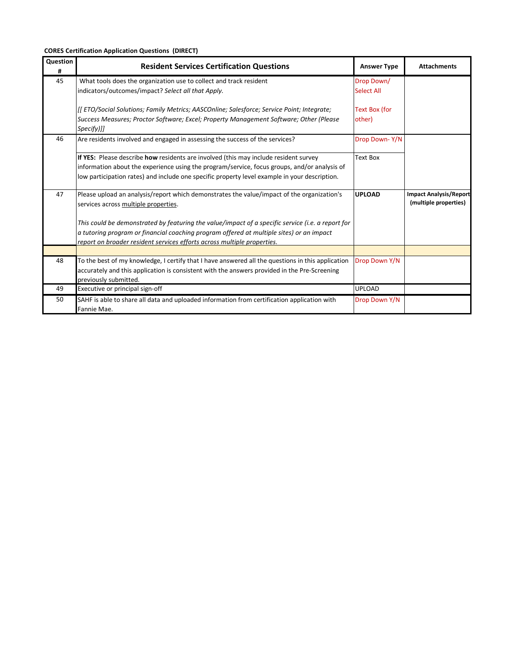| Question<br># | <b>Resident Services Certification Questions</b>                                                                      | <b>Answer Type</b> | <b>Attachments</b>            |
|---------------|-----------------------------------------------------------------------------------------------------------------------|--------------------|-------------------------------|
| 45            | What tools does the organization use to collect and track resident                                                    | Drop Down/         |                               |
|               | indicators/outcomes/impact? Select all that Apply.                                                                    | <b>Select All</b>  |                               |
|               | [[ETO/Social Solutions; Family Metrics; AASCOnline; Salesforce; Service Point; Integrate;                             | Text Box (for      |                               |
|               | Success Measures; Proctor Software; Excel; Property Management Software; Other (Please<br>Specify)]]                  | other)             |                               |
| 46            | Are residents involved and engaged in assessing the success of the services?                                          | Drop Down-Y/N      |                               |
|               | If YES: Please describe how residents are involved (this may include resident survey                                  | Text Box           |                               |
|               | information about the experience using the program/service, focus groups, and/or analysis of                          |                    |                               |
|               | low participation rates) and include one specific property level example in your description.                         |                    |                               |
| 47            | Please upload an analysis/report which demonstrates the value/impact of the organization's                            | <b>UPLOAD</b>      | <b>Impact Analysis/Report</b> |
|               | services across multiple properties.                                                                                  |                    | (multiple properties)         |
|               | This could be demonstrated by featuring the value/impact of a specific service (i.e. a report for                     |                    |                               |
|               | a tutoring program or financial coaching program offered at multiple sites) or an impact                              |                    |                               |
|               | report on broader resident services efforts across multiple properties.                                               |                    |                               |
|               |                                                                                                                       |                    |                               |
| 48            | To the best of my knowledge, I certify that I have answered all the questions in this application                     | Drop Down Y/N      |                               |
|               | accurately and this application is consistent with the answers provided in the Pre-Screening<br>previously submitted. |                    |                               |
| 49            | Executive or principal sign-off                                                                                       | <b>UPLOAD</b>      |                               |
| 50            | SAHF is able to share all data and uploaded information from certification application with                           | Drop Down Y/N      |                               |
|               | Fannie Mae.                                                                                                           |                    |                               |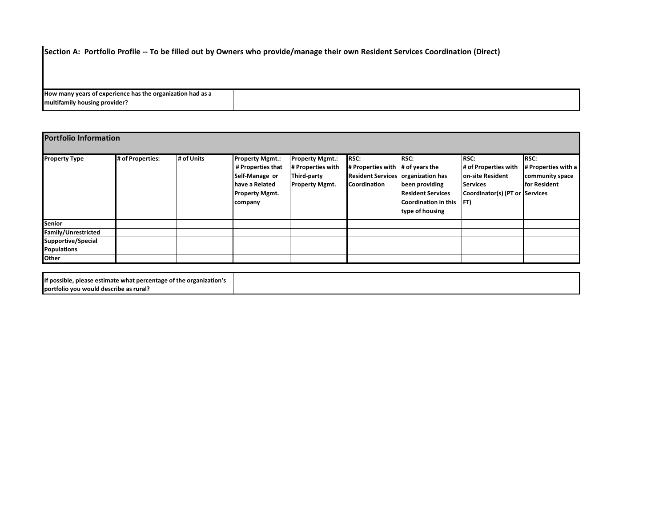**Section A: Portfolio Profile -- To be filled out by Owners who provide/manage their own Resident Services Coordination (Direct)** 

| How many years of experience has the organization had as a |  |
|------------------------------------------------------------|--|
| multifamily housing provider?                              |  |

| <b>Portfolio Information</b> |                  |            |                                                                                                                     |                                                                                     |                                                                                                                 |                                                                                                          |                                                                                                              |                                                                |
|------------------------------|------------------|------------|---------------------------------------------------------------------------------------------------------------------|-------------------------------------------------------------------------------------|-----------------------------------------------------------------------------------------------------------------|----------------------------------------------------------------------------------------------------------|--------------------------------------------------------------------------------------------------------------|----------------------------------------------------------------|
| <b>Property Type</b>         | # of Properties: | # of Units | <b>Property Mgmt.:</b><br># Properties that<br>Self-Manage or<br>have a Related<br><b>Property Mgmt.</b><br>company | <b>Property Mgmt.:</b><br># Properties with<br>Third-party<br><b>Property Mgmt.</b> | <b>RSC:</b><br># Properties with $ #$ of years the<br>Resident Services organization has<br><b>Coordination</b> | <b>RSC:</b><br>been providing<br><b>Resident Services</b><br>Coordination in this FT)<br>type of housing | <b>RSC:</b><br># of Properties with<br>on-site Resident<br><b>Services</b><br>Coordinator(s) (PT or Services | RSC:<br># Properties with a<br>community space<br>for Resident |
| Senior                       |                  |            |                                                                                                                     |                                                                                     |                                                                                                                 |                                                                                                          |                                                                                                              |                                                                |
| Family/Unrestricted          |                  |            |                                                                                                                     |                                                                                     |                                                                                                                 |                                                                                                          |                                                                                                              |                                                                |
| Supportive/Special           |                  |            |                                                                                                                     |                                                                                     |                                                                                                                 |                                                                                                          |                                                                                                              |                                                                |
| <b>Populations</b>           |                  |            |                                                                                                                     |                                                                                     |                                                                                                                 |                                                                                                          |                                                                                                              |                                                                |
| Other                        |                  |            |                                                                                                                     |                                                                                     |                                                                                                                 |                                                                                                          |                                                                                                              |                                                                |

| If possible.<br>e organization's<br>please estimate what percentage of the $\,$ |  |
|---------------------------------------------------------------------------------|--|
| The Theortfolio vou would describe as rural?                                    |  |